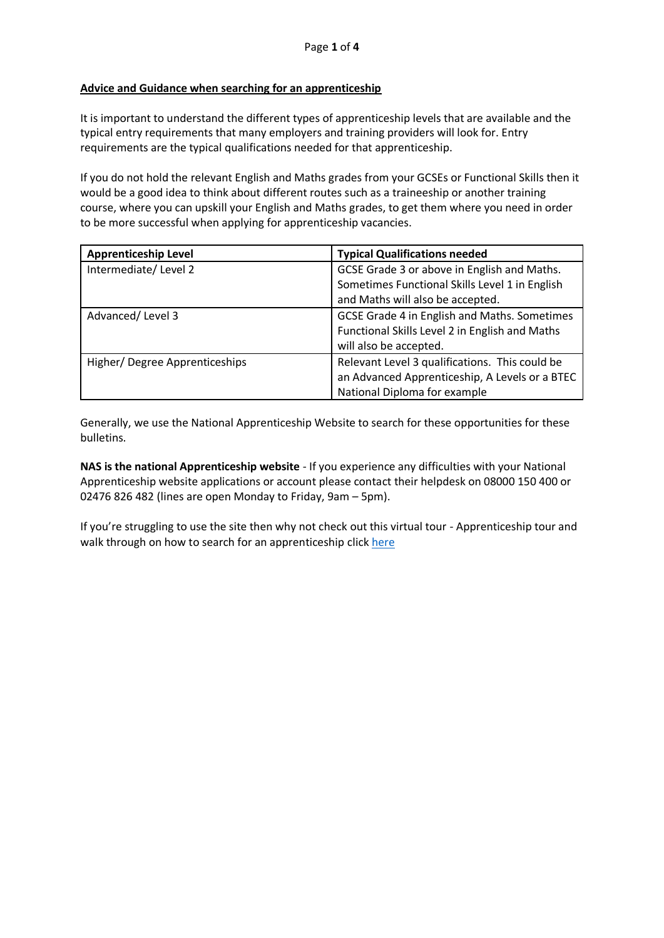## **Advice and Guidance when searching for an apprenticeship**

It is important to understand the different types of apprenticeship levels that are available and the typical entry requirements that many employers and training providers will look for. Entry requirements are the typical qualifications needed for that apprenticeship.

If you do not hold the relevant English and Maths grades from your GCSEs or Functional Skills then it would be a good idea to think about different routes such as a traineeship or another training course, where you can upskill your English and Maths grades, to get them where you need in order to be more successful when applying for apprenticeship vacancies.

| <b>Apprenticeship Level</b>   | <b>Typical Qualifications needed</b>           |
|-------------------------------|------------------------------------------------|
| Intermediate/Level 2          | GCSE Grade 3 or above in English and Maths.    |
|                               | Sometimes Functional Skills Level 1 in English |
|                               | and Maths will also be accepted.               |
| Advanced/Level 3              | GCSE Grade 4 in English and Maths. Sometimes   |
|                               | Functional Skills Level 2 in English and Maths |
|                               | will also be accepted.                         |
| Higher/Degree Apprenticeships | Relevant Level 3 qualifications. This could be |
|                               | an Advanced Apprenticeship, A Levels or a BTEC |
|                               | National Diploma for example                   |

Generally, we use the National Apprenticeship Website to search for these opportunities for these bulletins.

**NAS is the national Apprenticeship website** - If you experience any difficulties with your National Apprenticeship website applications or account please contact their helpdesk on 08000 150 400 or 02476 826 482 (lines are open Monday to Friday, 9am – 5pm).

If you're struggling to use the site then why not check out this virtual tour - Apprenticeship tour and walk through on how to search for an apprenticeship clic[k here](https://www.findapprenticeship.service.gov.uk/apprenticeshipsearch?_ga=2.80491351.1977311674.1619167020-1936842333.1598604019)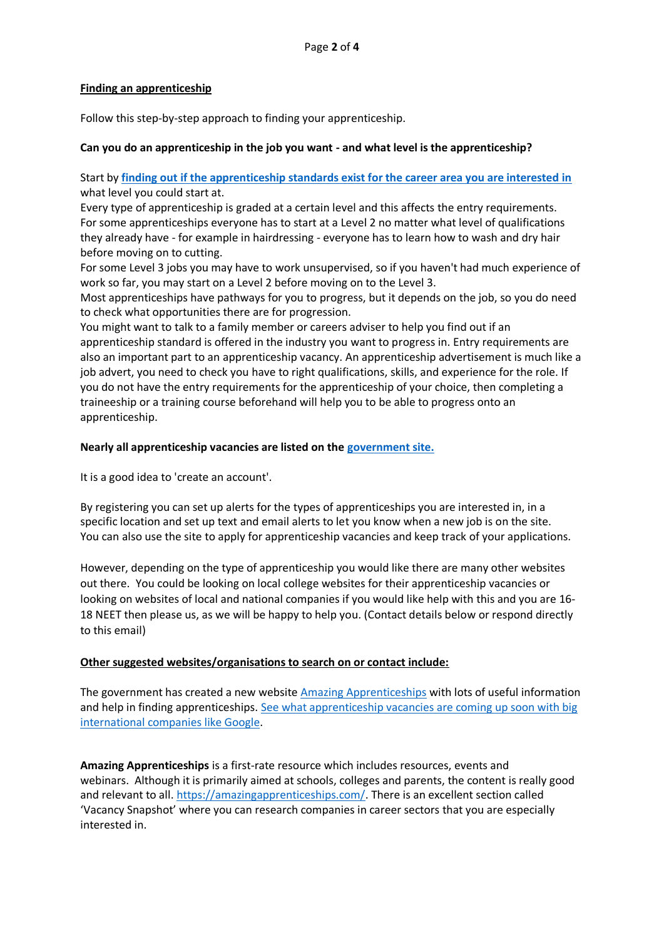## **Finding an apprenticeship**

Follow this step-by-step approach to finding your apprenticeship.

# **Can you do an apprenticeship in the job you want - and what level is the apprenticeship?**

Start by **finding out [if the apprenticeship standards exist for the career area you are interested in](https://findapprenticeshiptraining.apprenticeships.education.gov.uk/courses)** what level you could start at.

Every type of apprenticeship is graded at a certain level and this affects the entry requirements. For some apprenticeships everyone has to start at a Level 2 no matter what level of qualifications they already have - for example in hairdressing - everyone has to learn how to wash and dry hair before moving on to cutting.

For some Level 3 jobs you may have to work unsupervised, so if you haven't had much experience of work so far, you may start on a Level 2 before moving on to the Level 3.

Most apprenticeships have pathways for you to progress, but it depends on the job, so you do need to check what opportunities there are for progression.

You might want to talk to a family member or careers adviser to help you find out if an apprenticeship standard is offered in the industry you want to progress in. Entry requirements are also an important part to an apprenticeship vacancy. An apprenticeship advertisement is much like a job advert, you need to check you have to right qualifications, skills, and experience for the role. If you do not have the entry requirements for the apprenticeship of your choice, then completing a traineeship or a training course beforehand will help you to be able to progress onto an apprenticeship.

# **Nearly all apprenticeship vacancies are listed on the [government site.](https://www.gov.uk/apply-apprenticeship)**

It is a good idea to 'create an account'.

By registering you can set up alerts for the types of apprenticeships you are interested in, in a specific location and set up text and email alerts to let you know when a new job is on the site. You can also use the site to apply for apprenticeship vacancies and keep track of your applications.

However, depending on the type of apprenticeship you would like there are many other websites out there. You could be looking on local college websites for their apprenticeship vacancies or looking on websites of local and national companies if you would like help with this and you are 16- 18 NEET then please us, as we will be happy to help you. (Contact details below or respond directly to this email)

# **Other suggested websites/organisations to search on or contact include:**

The government has created a new website [Amazing Apprenticeships](https://amazingapprenticeships.com/) with lots of useful information and help in finding apprenticeships. [See what apprenticeship vacancies are coming up soon with big](https://amazingapprenticeships.com/vacancies/)  [international companies like Google.](https://amazingapprenticeships.com/vacancies/)

**Amazing Apprenticeships** is a first-rate resource which includes resources, events and webinars. Although it is primarily aimed at schools, colleges and parents, the content is really good and relevant to all. [https://amazingapprenticeships.com/.](https://eur02.safelinks.protection.outlook.com/?url=https%3A%2F%2Famazingapprenticeships.com%2F&data=04%7C01%7C%7C913dafdd684b4f59291408d96ee4085e%7Ca8b4324f155c4215a0f17ed8cc9a992f%7C0%7C0%7C637662749397209521%7CUnknown%7CTWFpbGZsb3d8eyJWIjoiMC4wLjAwMDAiLCJQIjoiV2luMzIiLCJBTiI6Ik1haWwiLCJXVCI6Mn0%3D%7C1000&sdata=7UV08HDjMcy7gNqnZjDVY0lky8Gd%2FtjbIKHBt2D0WOY%3D&reserved=0) There is an excellent section called 'Vacancy Snapshot' where you can research companies in career sectors that you are especially interested in.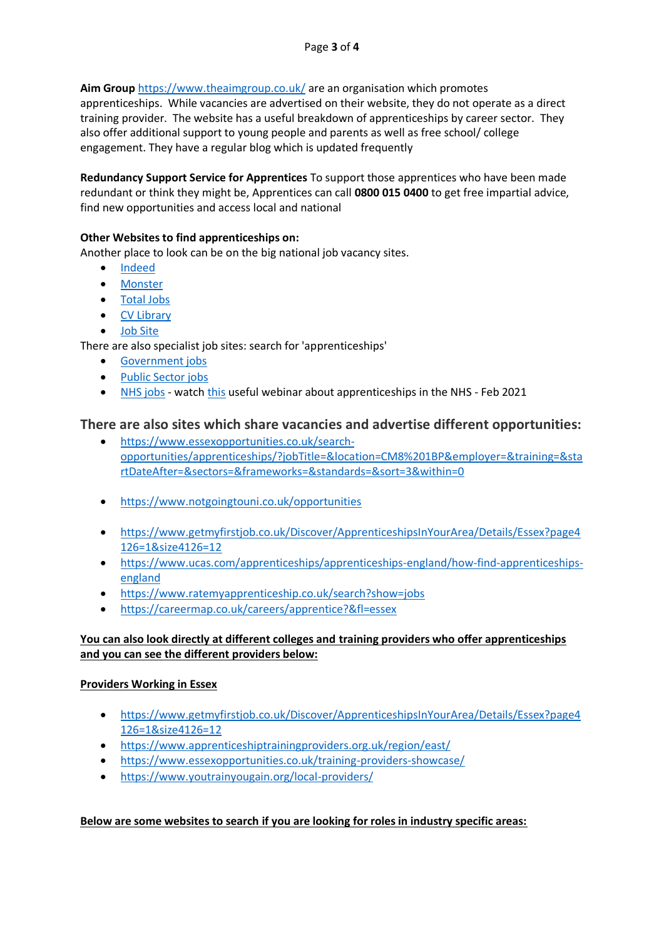**Aim Group** [https://www.theaimgroup.co.uk/](https://eur02.safelinks.protection.outlook.com/?url=https%3A%2F%2Fwww.theaimgroup.co.uk%2F&data=04%7C01%7C%7C913dafdd684b4f59291408d96ee4085e%7Ca8b4324f155c4215a0f17ed8cc9a992f%7C0%7C0%7C637662749397219514%7CUnknown%7CTWFpbGZsb3d8eyJWIjoiMC4wLjAwMDAiLCJQIjoiV2luMzIiLCJBTiI6Ik1haWwiLCJXVCI6Mn0%3D%7C1000&sdata=v9MsIto3eZi%2BFMq9cOpKa80j%2B540CoUPyV7m8xOiQrU%3D&reserved=0) are an organisation which promotes

apprenticeships. While vacancies are advertised on their website, they do not operate as a direct training provider. The website has a useful breakdown of apprenticeships by career sector. They also offer additional support to young people and parents as well as free school/ college engagement. They have a regular blog which is updated frequently

**Redundancy Support Service for Apprentices** To support those apprentices who have been made redundant or think they might be, Apprentices can call **0800 015 0400** to get free impartial advice, find new opportunities and access local and national

# **Other Websites to find apprenticeships on:**

Another place to look can be on the big national job vacancy sites.

- [Indeed](http://www.indeed.co.uk/)
- [Monster](http://www.monster.co.uk/)
- [Total Jobs](http://www.totaljobs.com/)
- [CV Library](http://www.cv-library.co.uk/)
- [Job Site](http://www.jobsite.co.uk/)

There are also specialist job sites: search for 'apprenticeships'

- [Government jobs](https://www.civilservicejobs.service.gov.uk/csr/index.cgi?SID=a2V5PTUwNzAwMDAmcGFnZWNsYXNzPUpvYnMmcGFnZWFjdGlvbj1zZWFyY2hieWNvbnRleHRpZCZ1c2Vyc2VhcmNoY29udGV4dD03MzAwMjUwMiZyZXFzaWc9MTU1MDgzMDMxOC1mYzVkODUyOTUyZWI4ZjM3ZjZjMDcyYTc0Nzg0Y2Y0OWY1ZTkzOTAw)
- [Public Sector jobs](http://www.jobsgopublic.com/)
- [NHS jobs](https://www.jobs.nhs.uk/) watch [this](https://www.facebook.com/events/467070661315887) useful webinar about apprenticeships in the NHS Feb 2021

# **There are also sites which share vacancies and advertise different opportunities:**

- [https://www.essexopportunities.co.uk/search](https://www.essexopportunities.co.uk/search-opportunities/apprenticeships/?jobTitle=&location=CM8%201BP&employer=&training=&startDateAfter=§ors=&frameworks=&standards=&sort=3&within=0)[opportunities/apprenticeships/?jobTitle=&location=CM8%201BP&employer=&training=&sta](https://www.essexopportunities.co.uk/search-opportunities/apprenticeships/?jobTitle=&location=CM8%201BP&employer=&training=&startDateAfter=§ors=&frameworks=&standards=&sort=3&within=0) [rtDateAfter=&sectors=&frameworks=&standards=&sort=3&within=0](https://www.essexopportunities.co.uk/search-opportunities/apprenticeships/?jobTitle=&location=CM8%201BP&employer=&training=&startDateAfter=§ors=&frameworks=&standards=&sort=3&within=0)
- <https://www.notgoingtouni.co.uk/opportunities>
- [https://www.getmyfirstjob.co.uk/Discover/ApprenticeshipsInYourArea/Details/Essex?page4](https://www.getmyfirstjob.co.uk/Discover/ApprenticeshipsInYourArea/Details/Essex?page4126=1&size4126=12) [126=1&size4126=12](https://www.getmyfirstjob.co.uk/Discover/ApprenticeshipsInYourArea/Details/Essex?page4126=1&size4126=12)
- [https://www.ucas.com/apprenticeships/apprenticeships-england/how-find-apprenticeships](https://www.ucas.com/apprenticeships/apprenticeships-england/how-find-apprenticeships-england)[england](https://www.ucas.com/apprenticeships/apprenticeships-england/how-find-apprenticeships-england)
- <https://www.ratemyapprenticeship.co.uk/search?show=jobs>
- <https://careermap.co.uk/careers/apprentice?&fl=essex>

# **You can also look directly at different colleges and training providers who offer apprenticeships and you can see the different providers below:**

#### **Providers Working in Essex**

- [https://www.getmyfirstjob.co.uk/Discover/ApprenticeshipsInYourArea/Details/Essex?page4](https://www.getmyfirstjob.co.uk/Discover/ApprenticeshipsInYourArea/Details/Essex?page4126=1&size4126=12) [126=1&size4126=12](https://www.getmyfirstjob.co.uk/Discover/ApprenticeshipsInYourArea/Details/Essex?page4126=1&size4126=12)
- <https://www.apprenticeshiptrainingproviders.org.uk/region/east/>
- <https://www.essexopportunities.co.uk/training-providers-showcase/>
- <https://www.youtrainyougain.org/local-providers/>

#### **Below are some websites to search if you are looking for roles in industry specific areas:**